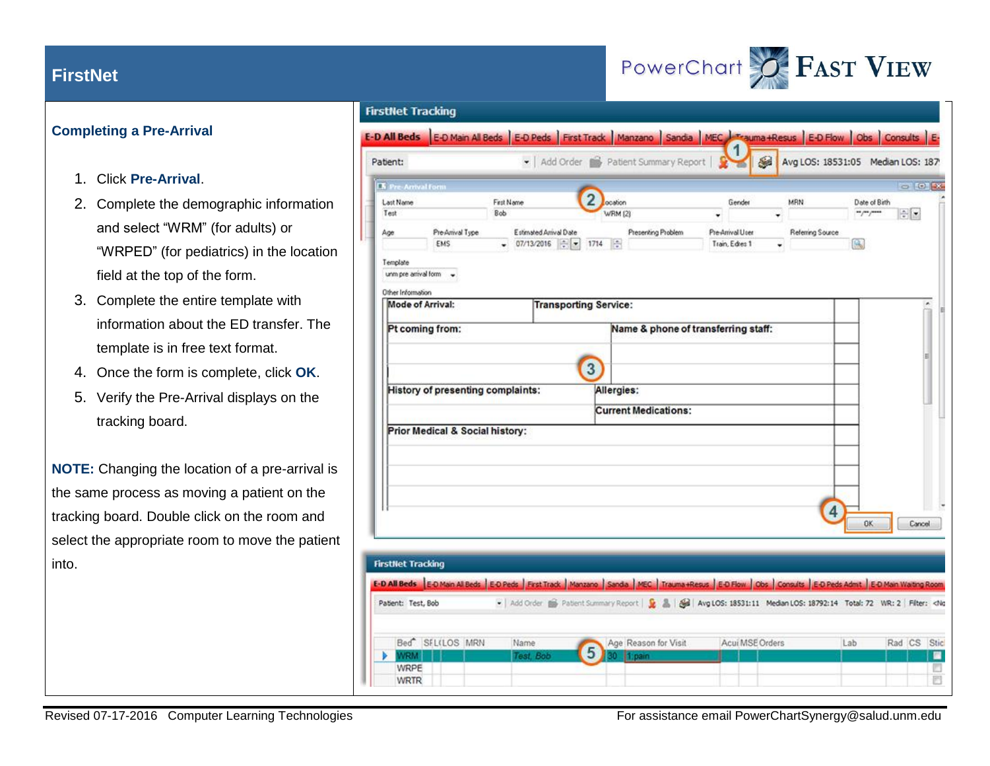### **Completing a Pre-Arrival**

- 1. Click **Pre-Arrival**.
- 2. Complete the demographic information and select "WRM" (for adults) or "WRPED" (for pediatrics) in the location field at the top of the form.
- 3. Complete the entire template with information about the ED transfer. The template is in free text format.
- 4. Once the form is complete, click **OK**.
- 5. Verify the Pre-Arrival displays on the tracking board.

**NOTE:** Changing the location of a pre-arrival is the same process as moving a patient on the tracking board. Double click on the room and select the appropriate room to move the patient into.

#### **FirstNet Tracking** E-D All Beds E-D Main All Beds E-D Peds First Track Manzano Sandia MEC Trauma Resus E-D Flow Obs Consults E-- | Add Order 8 Patient Summary Report | **SB** Patient: Avg LOS: 18531:05 Median LOS: 187 **The Pre-Arrival For College Law**  $\overline{2}$ First Name Last Name ocation MAN Date of Birth Gender Test Rob **WRM (2)**  $-1/2$  $\left| \frac{1}{2} \right|$ Age Pre-Arrival Type Estimated Arrival Date Presenting Problem Pre-Arrival User Referring Source EMS  $\bullet$  07/13/2016  $\div$   $\bullet$  1714  $\div$ Train, Edres 1 Template unm pre arrival form -Other Information Mode of Arrival: **Transporting Service:** Pt coming from: Name & phone of transferring staff:  $\sqrt{3}$ History of presenting complaints: Allergies: **Current Medications:** Prior Medical & Social history:  $\overline{4}$ nk Cancel **FirstNet Tracking** E-D All Beds E-D Main Al Beds ED Peds First Track | Manzano | Sanda | MEC | Trauma +Resus | E-D Flow | Obs | Consults | E-D Peds Admit | E-D Main Walting Room Patient: Test, Bob - Add Order ( Patient Summary Report | D \_ B | Aig LOS: 18531:11 Median LOS: 18792:14 Total: 72 WR: 2 | Filter: <No Bed<sup>SEL(LOS MRN</sup> Acui MSE Orders Name Age Reason for Visit Lab Rad CS Stic 5 Test, Bob **NRM** п WRPE ш 回 **WRTR**

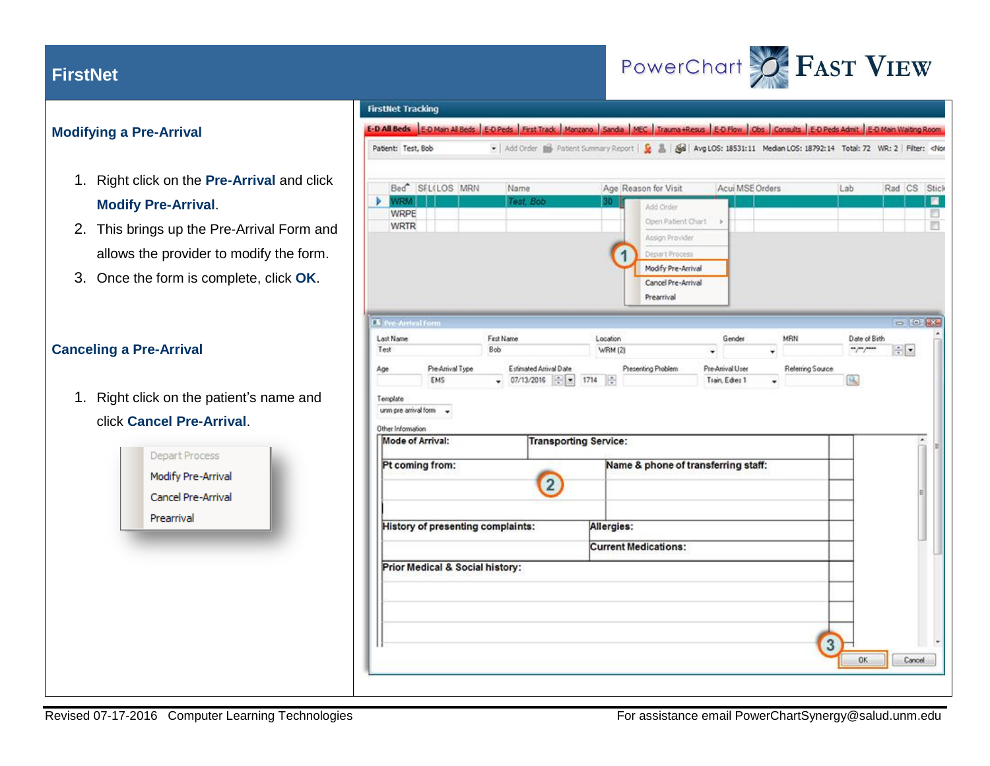

### **Modifying a Pre-Arrival**

- 1. Right click on the **Pre-Arrival** and click **Modify Pre-Arrival**.
- 2. This brings up the Pre-Arrival Form and allows the provider to modify the form.
- 3. Once the form is complete, click **OK**.

## **Canceling a Pre-Arrival**

1. Right click on the patient's name and click **Cancel Pre-Arrival**.



#### **FirstNet Tracking** E-D All Beds E-D Main Al Beds E-D Peds Freat Track | Manzano | Sanda | MEC | Trauma +Resus | E-D Flow | Consults | E-D Peds Admt | E-D Main Walting Room Add Order ( Patient Summary Report | D & | Avg LOS: 18531:11 Median LOS: 18792:14 Total: 72 WR: 2 | Filter: <Nor Patient: Test, Bob Age Reason for Visit Bed<sup>\*</sup> SFL(LOS MRN Name Acui MSE Orders Lab Rad CS Stick WRM Test. Bob 量 Add Order **WRPE** 門 Open Patient Chart > 罰 **WRTR** Assign Provider Depart Process Modify Pre-Arrival Cancel Pre-Arrival Prearrival  $=$  [e]  $\mathbf{R}$ **IX** Pre-Arrival for First Name Last Name Location Gender MRN Date of Birth Test Bob **WRM (2)**  $-7/$  $\left| \frac{1}{2} \right|$ ÷ Pre-Arrival Type Estimated Astival Date Presenting Problem Pre-Arrival User Referring Source Age  $- 07/13/2016$   $- 1714$ EMS Train, Edies 1 ß. Template unm pre-arrival form -Other Information Mode of Arrival: **Transporting Service:** Pt coming from: Name & phone of transferring staff:  $\boxed{2}$ History of presenting complaints: Allergies: **Current Medications:** Prior Medical & Social history: 3 Cancel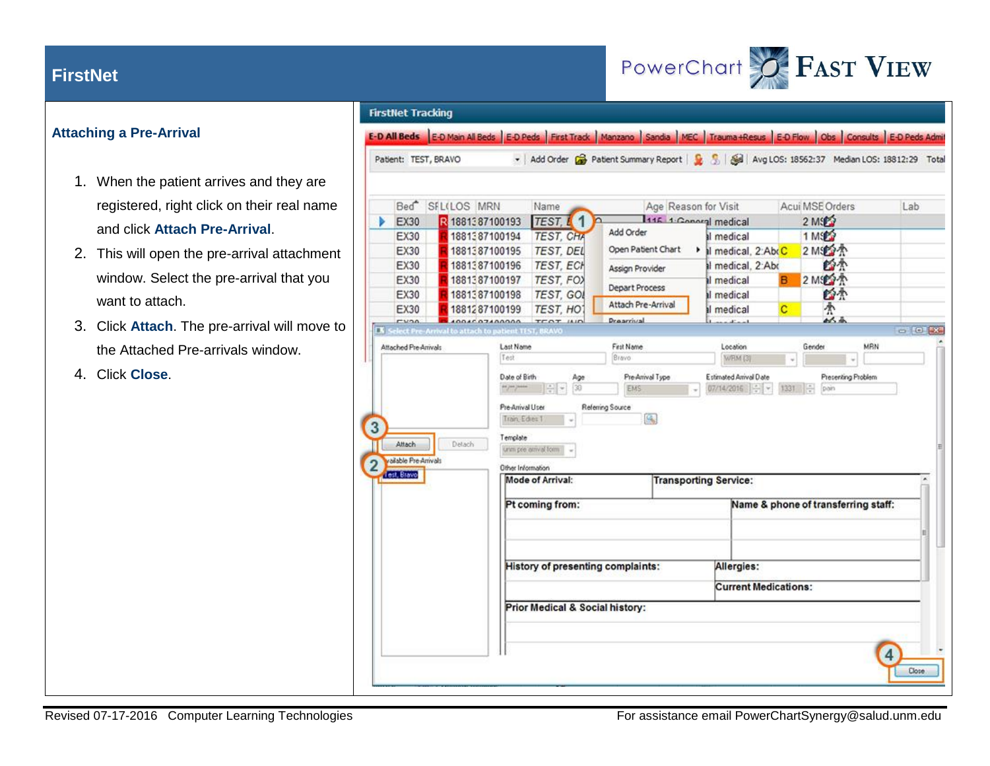

### **Attaching a Pre-Arrival**

- 1. When the patient arrives and they are registered, right click on their real name and click **Attach Pre-Arrival**.
- 2. This will open the pre-arrival attachment window. Select the pre-arrival that you want to attach.
- 3. Click **Attach**. The pre-arrival will move to the Attached Pre-arrivals window.
- 4. Click **Close**.

### **FirstNet Tracking**

E-D All Beds E-D Main All Beds E-D Peds First Track Manzano Sandia MEC Trauma +Resus E-D Flow Obs Consults E-D Peds Admit

- Add Order & Patient Summary Report | 8 5 | 8 | Avg LOS: 18562:37 Median LOS: 18812:29 Total Patient: TEST, BRAVO

|   |                       | Bed <sup>*</sup> SFL(LOS MRN                                 |                                             | Name                            | $\overline{\phantom{a}}$          | Age Reason for Visit |                                        |    | Acui MSE Orders   |                                     | Lab            |
|---|-----------------------|--------------------------------------------------------------|---------------------------------------------|---------------------------------|-----------------------------------|----------------------|----------------------------------------|----|-------------------|-------------------------------------|----------------|
|   | <b>EX30</b>           | 2 18813 87100193                                             |                                             | TEST. 11                        | Add Order                         |                      | 1115 1. Conoral medical                |    | 2 MS              |                                     |                |
|   | <b>EX30</b>           | 1881387100194                                                |                                             | <b>TEST, CHA</b>                | Open Patient Chart                |                      | Il medical                             |    | 1 MS <sub>2</sub> |                                     |                |
|   | <b>EX30</b>           | 1881387100195                                                |                                             | <b>TEST, DEL</b>                |                                   |                      | Inedical, 2:AbcC                       |    | 2 MS2个            |                                     |                |
|   | EX30                  | 1881387100196                                                |                                             | <b>TEST, ECH</b>                | Assign Provider                   |                      | al medical, 2:Abc                      |    | 爵杰                |                                     |                |
|   | EX30<br>EX30          | 1881387100197                                                |                                             | TEST, FOX                       | Depart Process                    |                      | Il medical                             | в  | 2 Mig 个           |                                     |                |
|   | EX30                  | 1881387100198<br>1881287100199                               |                                             | TEST, GOL<br><b>TEST. HOT</b>   | Attach Pre-Arrival                |                      | Il medical<br>Il medical               | c  | 西木<br>个           |                                     |                |
|   | $r$ <i>v</i> $\alpha$ | ADDACATAADOOL                                                |                                             | TEOT HID                        | <b>Dreaminal</b>                  |                      | $1 - 2 - 3 - 1$                        |    | 从画                |                                     |                |
|   |                       | <b>K</b> Select Pre-Arrival to attach to patient TEST, BRAVO |                                             |                                 |                                   |                      |                                        |    |                   |                                     | <b>GILDIAN</b> |
|   | Attached Pre-Arrivals |                                                              | Last Name                                   |                                 | First Name                        |                      | Location                               |    | Gender            | MRN                                 |                |
|   |                       |                                                              | Test                                        |                                 | Bravo                             |                      | WRM (3)                                | w. |                   | ų                                   |                |
|   |                       |                                                              | Date of Birth                               | Age                             | Pre-Arrival Type                  |                      | Estimated Arrival Date<br>07/14/2016 - |    |                   | Presenting Problem                  |                |
|   | Attach                | Detach                                                       | Pre-Arrival User<br>Tran-Edes 1<br>Template | unim pre arrival form           | Referring Source<br>G.            |                      |                                        |    |                   |                                     |                |
|   | vailable Pre-Arrivals |                                                              | Other Information                           |                                 |                                   |                      |                                        |    |                   |                                     |                |
|   | Test, Bravo           |                                                              |                                             | Mode of Arrival:                |                                   |                      | <b>Transporting Service:</b>           |    |                   |                                     |                |
|   |                       |                                                              |                                             | Pt coming from:                 |                                   |                      |                                        |    |                   | Name & phone of transferring staff: |                |
| 3 |                       |                                                              |                                             |                                 | History of presenting complaints: |                      | Allergies:                             |    |                   |                                     |                |
|   |                       |                                                              |                                             |                                 |                                   |                      | <b>Current Medications:</b>            |    |                   |                                     |                |
|   |                       |                                                              |                                             | Prior Medical & Social history: |                                   |                      |                                        |    |                   |                                     |                |
|   |                       |                                                              |                                             |                                 |                                   |                      |                                        |    |                   |                                     |                |